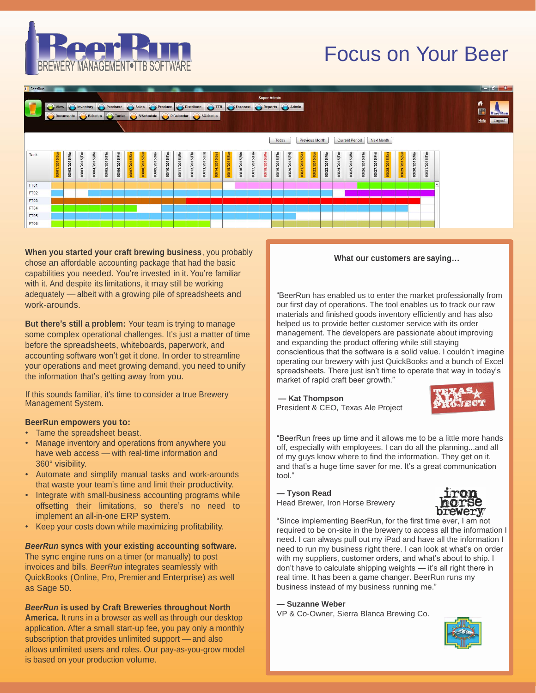# Focus on Your Beer





**When you started your craft brewing business**, you probably chose an affordable accounting package that had the basic capabilities you needed. You're invested in it. You're familiar with it. And despite its limitations, it may still be working adequately — albeit with a growing pile of spreadsheets and work-arounds.

**But there's still a problem:** Your team is trying to manage some complex operational challenges. It's just a matter of time before the spreadsheets, whiteboards, paperwork, and accounting software won't get it done. In order to streamline your operations and meet growing demand, you need to unify the information that's getting away from you.

If this sounds familiar, it's time to consider a true Brewery Management System.

### **BeerRun empowers you to:**

- Tame the spreadsheet beast.
- Manage inventory and operations from anywhere you have web access — with real-time information and 360° visibility.
- Automate and simplify manual tasks and work-arounds that waste your team's time and limit their productivity.
- Integrate with small-business accounting programs while offsetting their limitations, so there's no need to implement an all-in-one ERP system.
- Keep your costs down while maximizing profitability.

### *BeerRun* **syncs with your existing accounting software.**

The sync engine runs on a timer (or manually) to post invoices and bills. *BeerRun* integrates seamlessly with QuickBooks (Online, Pro, Premier and Enterprise) as well as Sage 50.

# *BeerRun* **is used by Craft Breweries throughout North**

**America.** It runs in a browser as well as through our desktop application. After a small start-up fee, you pay only a monthly subscription that provides unlimited support — and also allows unlimited users and roles. Our pay-as-you-grow model is based on your production volume.

#### **What our customers are saying…**

"BeerRun has enabled us to enter the market professionally from our first day of operations. The tool enables us to track our raw materials and finished goods inventory efficiently and has also helped us to provide better customer service with its order management. The developers are passionate about improving and expanding the product offering while still staying conscientious that the software is a solid value. I couldn't imagine operating our brewery with just QuickBooks and a bunch of Excel spreadsheets. There just isn't time to operate that way in today's market of rapid craft beer growth."

**— Kat Thompson** President & CEO, Texas Ale Project



"BeerRun frees up time and it allows me to be a little more hands off, especially with employees. I can do all the planning...and all of my guys know where to find the information. They get on it, and that's a huge time saver for me. It's a great communication tool."

## **— Tyson Read** Head Brewer, Iron Horse Brewery



"Since implementing BeerRun, for the first time ever, I am not required to be on-site in the brewery to access all the information I need. I can always pull out my iPad and have all the information I need to run my business right there. I can look at what's on order with my suppliers, customer orders, and what's about to ship. I don't have to calculate shipping weights — it's all right there in real time. It has been a game changer. BeerRun runs my business instead of my business running me."

**— Suzanne Weber**

VP & Co-Owner, Sierra Blanca Brewing Co.